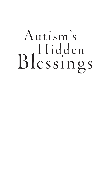## Autism's Blessings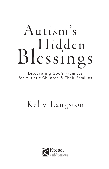# Autism's Blessings

Discovering God's Promises for Autistic Children & Their Families

## Kelly Langston

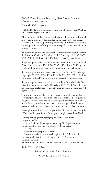*Autism's Hidden Blessings: Discovering God's Promises for Autistic Children and Their Families*

© 2009 by Kelly Langston

Published by Kregel Publications, a division of Kregel, Inc., P.O. Box 2607, Grand Rapids, MI 49501.

All rights reserved. No part of this book may be reproduced, stored in a retrieval system, or transmitted in any form or by any means electronic, mechanical, photocopy, recording, or otherwise—without written permission of the publisher, except for brief quotations in printed reviews.

All Scripture quotations, unless otherwise indicated, are taken from the Holman Christian Standard Bible®. Copyright © 1999, 2000, 2002, 2003 by Holman Bible Publishers. Used by permission.

Scripture quotations marked amp are taken from the Amplified Bible, Copyright © 1954, 1958, 1962, 1964, 1965, 1987 by The Lockman Foundation. Used by permission. (www.Lockman.org)

Scripture quotations marked msg are taken from *The Message*. Copyright © 1993, 1994, 1995, 1996, 2000, 2001, 2002. Used by permission of NavPress Publishing Group. All rights reserved.

Scripture quotations marked niv are taken from the *Holy Bible, New International Version*®. Copyright © 1973, 1978, 1984 by International Bible Society. Used by permission of Zondervan. All rights reserved.

The author and publisher are not engaged in rendering medical or psychological services, and this book is not intended as a guide to diagnose or treat medical or psychological problems. If medical, psychological, or other expert assistance is required by the reader, please seek the services of your own physician or certified counselor.

Cover photograph of Alec Langston by Charles N. Jenkins, July 2006. Used by permission. Other photographs taken June 2008.

**Library of Congress Cataloging-in-Publication Data** Langston, Kelly

Autism's hidden blessings : discovering God's promises for autistic children and their families / Kelly Langston.

p. cm.

Includes bibliographical references.

1. Parents of autistic children—Religious life. 2. Parents of children with disabilities—Religious life. 3. Autism in children. I. Title. BV4596.P35L36 2009 248.8'619685882—dc22 2008056108

ISBN 978-0-8254-2977-4

Printed in the United States of America

09 10 11 12 13 / 5 4 3 2 1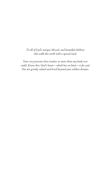*To all of God's unique, blessed, and beautiful children who walk this earth with a special need.*

*Your very presence here teaches us more than any book ever could. Know this: God's heart—which has no limit—is for you! You are greatly valued and loved beyond your wildest dreams.*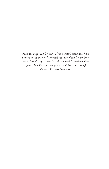*Oh, that I might comfort some of my Master's servants. I have written out of my own heart with the view of comforting their hearts. I would say to them in their trials—My brethren, God is good. He will not forsake you: He will bear you through.* Charles Haddon Spurgeon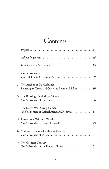## Contents

|  | 1. God's Promises:<br>Our Lifeline to Overcome Autism 29                         |
|--|----------------------------------------------------------------------------------|
|  | 2. The Anchor of Our Lifeline:<br>Learning to Trust and Obey the Promise Maker36 |
|  | 3. The Blessings Behind the Giants:                                              |
|  | 4. The Dawn Will Surely Come:<br>God's Promise of Refreshment and Renewal 68     |
|  | 5. Revelations Without Words:                                                    |
|  | 6. Making Sense of a Confusing Disorder:                                         |
|  | 7. The Greatest Therapy:<br>God's Promise of the Power of Love102                |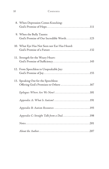| 8. When Depression Comes Knocking:                                            |
|-------------------------------------------------------------------------------|
| 9. When the Bully Taunts:<br>God's Promise of Our Incredible Worth123         |
| 10. What Eye Has Not Seen nor Ear Has Heard:<br>God's Promise of a Future 132 |
| 11. Strength for the Weary Heart:<br>God's Promise of Sufficiency 143         |
| 12. From Speechless to Unspeakable Joy:                                       |
| 13. Speaking Out for the Speechless:<br>Offering God's Promises to Others 167 |
| Epilogue: Where Are We Now?181                                                |
| Appendix A: What Is Autism? 191                                               |
| Appendix B: Autism Resources 193                                              |
| Appendix C: Straight Talk from a Dad198                                       |
|                                                                               |
|                                                                               |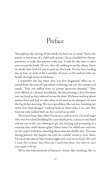## Preface

Throughout the writing of this book I've had you in mind. You're the parent or loved one of a child with autism. I'm so thankful for the opportunity to walk this journey with you, if only for the time it takes you to read this book. We are, after all, walking in similar shoes. I have no doubt that God led you to pick up this book. He has been leading me, in fact, to write it for a number of years as He walked with our family through times of darkness.

I remember the day when Alec was first diagnosed, when we received from the team of specialists evaluating our son the unexpected words, "Your son suffers from an autism spectrum disorder."<sup>1</sup> They each offered us a formal handshake, the last pressing a thin brochure into my hand as they ushered us out the door. We knew nothing about autism then and had no idea what to do next as we slumped out into the fog of that morning. We were speechless, like our son, knowing our entire lives had changed. Looking back on those days, I see now that God not only walked with us, but carried us as well.

There have been days when I've sat on a curb in tears. I'd tried to get Alec into his school building for a preschool party, a pizza in one hand and my son in the car, refusing to get out, kicking and screaming in a tantrum that could shatter glass. Other times I've rolled over and over on the carpet with him, wrestling shoes onto his chubby feet. This was during January, but despite the cold, he couldn't stand to wear them. I've sat on the side of Alec's bed at night and cried out to God, *Oh Lord! I want Alec to know You! How can I teach him about You when he can't even speak with me?*

We've also had moments of fantastic victory, like watching Alec in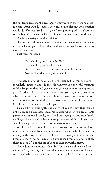the kindergarten school play, singing every word to every song; or seeing him argue with his older sister, Elise, just like any little brother would do. I've treasured the sight of him jumping off the afternoon school bus with his arms wide, rushing into my arms, and I've thought, *Lord, what a blessing to receive such love!*

Dear reader, I don't know where you are on this journey. But wherever it is, I want you to know that God has a message for you and your child with autism.

That message is this:

Your child is greatly loved by God. Your child is greatly valued by God. God has a wonderful purpose for your child's life, No less than that of any other child.

And here's something else: God never intended for you, as a parent, to walk this journey alone! In fact, He has given you powerful treasures in His Scripture that will give you wings to soar above the oppressive grip of autism. No matter how overwhelmed you might feel, no matter what challenges you face, financial burdens, stress, weariness, or even intense loneliness, know this: God gave you this child for a reason. God believes in you, and He is for you!

This is why I'm writing this book. I want you to know that you are not alone, and never have been. No matter whether you are a single parent, or a married couple, or a loved one trying to support a family dealing with autism, God has a message for you and the child you love. And He has provided mighty tools to overcome autism.

While this book does offer helpful resources for parents and loved ones of autistic children, it is not intended as a medical manual for dealing with autism. Rather, this book encourages you to discover the promises that God has made, to claim those promises, and to apply them to your life and the life of your child living with autism.

Never doubt for a minute that God loves your child with a love so wide and long and high and deep that we cannot comprehend its measure. God, who has woven every cell and every DNA strand together,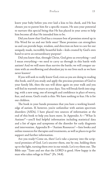#### Preface 13

knew your baby before you ever laid a kiss to his cheek, and He has chosen *you* to parent him for a specific reason. He sees your potential to nurture this special being that He has placed in your arms to help him become all that He intended him to be.

Did you know that God has a treasure box of promises stored up in His Word for us and our little ones? These promises can strengthen us and can provide hope, wisdom, and direction on how to care for our uniquely made, incredibly beautiful kids—kids created by God's own hand to serve an extraordinary purpose!

Did you know that, through Christ, God gives us everything—and I mean everything*—*we need to carry us through in this battle with autism? And we will more than survive the battle; we will conquer autism with an overflowing and abundant joy in our lives such as we have never known!

If you will seek to really know God, even as you are doing in reading this book, and if you study and apply the precious promises of God to your family life, then the sun will shine again on your walk and you will feel its warmth return to your days. You will break forth into singing, with a new song, one of strength and confidence in place of worry, fear, and stress. God's truth is this: We have nothing to fear. He is for our children.

The book in your hands presumes that you have a working knowledge of autism. If, however, you're unfamiliar with autism spectrum disorders (ASDs), I have placed two sources of information at the end of this book to help you learn more. In Appendix A—"What Is Autism?"—you'll find helpful information including statistical data and a list of signs and symptoms of the disorder for early diagnosis and intervention. Appendix B—"Autism Resources"—lists books and online resources for therapies and treatments, as well as places to go for support and further information.

Are you ready? Come on, then! Let's take a journey into the scriptural promises of God. Let's uncover them, one by one, holding them up to the light, turning them over in our minds. Let's try them out. The Bible says "Taste and see that the LORD is good. How happy is the man who takes refuge in Him!" (Ps. 34:8).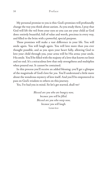My personal promise to you is this: God's promises will profoundly change the way you think about autism. As you study them, I pray that God will lift the veil from your eyes so you can see your child as God does: entirely beautiful, full of value and worth, precious in every way, and filled to the brim with a powerful, special purpose.

These promises will make a vast difference in your life. You will smile again. You will laugh again. You will love more than you ever thought possible, and as you open your heart fully, allowing God to love your child through you, your arms will be His arms; your smile, His smile. You'll be filled with the majesty of a love that knows no limit and no end. It's a miraculous love that only strengthens and multiplies when poured out. It cannot be contained.

In this process you'll receive an added blessing; you'll get a glimpse of the magnitude of God's love for *you*. You'll understand a little more about the wondrous mystery of love itself. And you'll be empowered to pass on God's wisdom to others on this journey.

Yes, I've had you in mind. So let's get started, shall we?

*Blessed are you who are hungry now, because you will be filled. Blessed are you who weep now, because you will laugh.* LUKE 6:21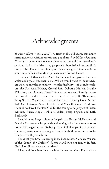## Acknowledgments

*It takes a village to raise a child.* The truth in this old adage, commonly attributed to an African proverb and popularized by Hillary Rodham Clinton, is never more obvious than when the child in question is autistic. To list all of the many people who have helped our family is not possible. Each day our family receives a new gift of kindness from someone, and in each of these persons we are forever blessed.

That said, I thank all of Alec's teachers and caregivers who have welcomed my son into their arms. Where would we be without teachers who see only the possibility—not the disability—of a child: teachers like Sue Ann Belcher, Crystal Lail, Deborah Mullen, Natalie Whitaker, and Amanda Eisel? We watched our son literally reconnect to this world through the caring hands of Julie Thompson, Betsy Spaeth, Wyndi Stitt, Sharae Lattimore, Tammy Cone, Nancy Dill, Carol George, Susan Fletcher, and Michelle Goode. And how many times have I thanked God for the courage and prayers of Susan Kincaid, Karen Apple, Robin Gladden, Betty Bogart, and Beth Berkland?

I could never forget school principals like Rachel McKenzie and Martha Carpenter who provide welcoming school environments to every child, regardless of disability. May God bless you in abundance for each provision of love you give to autistic children in your schools. They are worth your efforts.

I can't tell you how heartening it has been to have Candace Wilson of the Council for Children's Rights stand with our family. In fact, God bless all the advocates out there!

Many children have been real-life heroes in Alec's life, such as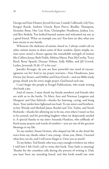George and Sam Hunter, Jerrod Gervasi, Cassidy Calbreath, Lily Farr, Keegan Ruark, Andrew Utesch, Ryan Pierce, Bradley Thompson, Grantley Bone, Hee Lim Kim, Christopher Pendleton, Joshua Lee, and Ben Stokely. You looked beyond autism and welcomed my son as a good friend. What an example you are! You have no idea what you have meant to our family.

Whenever the darkness of autism closed in, I always could call on other autism moms to share some of their wisdom. Quite simply, autism never stood a chance against the remarkable strength of women like Colleen Jenny, Beth Fields, Melissa Myers, Pam McCarthy, Tracy Reed, Betsy Spaeth, Deanne Nelson, Sally Miller, and Jill Urwick. Ladies, Jeremiah 31:16–17 is for you!

Jennifer Krueger, do you see how powerful one word of encouragement can be? And to my prayer warriors—Nan Henderson, June Davies, Joy Stuart, and Debbie and Dean Gutch—and our Bible study group, thank you for every single prayer. God heard each one.

I can't forget the people at Kregel Publications, who made writing this book a joy.

And of course, I must thank my family members and friends who are with us in the battle. To Mary Ann and Norman Langston and Margaret and Dan Saltrick—thanks for listening, caring, and being there. Your smiles have lightened our load. To my sisters and brothersin-law Wendy and Michael Jones, Rachel and Tim Taylor, and Sarah Richards—thanks for allowing me to be me, even when I wasn't so fun to be around, and for providing laughter when we desperately needed it. A special thanks to my sister Amanda Hankins, who selflessly offered many prayers and words of comfort—you are one of the greatest blessings in my life.

To my mother, Susan Grimm, who shaped my life as she dried the tears from my cheeks when I was young—from you, Mom, I learned what love can do, and I will never forget it. I love you so much!

To my father, Ted Smith, who was crazy enough to believe me when I told him I felt God's call to write this book. Your faith is amazing! Thanks for the countless calls during the process of writing it. Dad, you have been my sounding board, and this book would not exist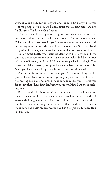without your input, advice, prayers, and support. So many times you kept me going. I love you, Dad, and I trust that all four coin cans are finally mine. You know what I mean.

Thanks to you, Elise, my sweet daughter. You are Alec's best teacher and have melted my heart with your compassion and sweet spirit. What plans God must have for you! I gaze at you in awe, knowing God is painting your life with the most beautiful of colors. Never be afraid to speak out for people who need a voice. God is with you, my child.

To my sweet Matt, who sacrificed daily with me to write and live out this book: you are my hero. I have no idea why God blessed me with a man like you, but I thank Him every single day for doing it. You never complained, never gave up, and always believed in the impossible. Matt, you have the entirety of my heart . . . and you always will.

And certainly not in the least, thank you, Alec, for teaching me the power of love. Your story is only beginning, my son, and I will forever be cheering you on. God moved mountains to rescue you! Thank you for the joy that I have found in being your mom. Now I am the speechless one.

But above all, this book would not be in your hands if it were not for my Father and His precious son, Jesus. As I wrote it, I could feel an overwhelming magnitude of love for children with autism and their families. There is nothing more powerful than God's love. It moves mountains and heals broken hearts, and has changed me forever. This is His story.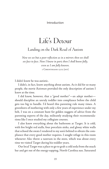Introduction

### Life's Detour

#### Landing on the Dark Road of Autism

*Now we see but a poor reflection as in a mirror; then we shall see face to face. Now I know in part; then I shall know fully, even as I am fully known.* 1 Corinthians 13:12 (niv)

I didn't know he was autistic.

I didn't, in fact, know anything about autism. As it did for so many people, the movie *Rainman* provided the only description of autism I knew at the time.

I did know, however, that a "good mother"—an adept mother should discipline an unruly toddler into compliance before the child gets too big to handle. I'd heard this parenting rule many times. A greenhorn of mothering with only a few years of experience under my belt, I was on a constant hunt for golden nuggets of advice from the parenting experts of the day, militantly studying their recommendations like I once studied my collegiate courses.

I also knew everything about the bathroom at Target. It is cold, with five bright red stalls, four porcelain sinks, and glossy white walls that echoed the swats I rendered to my son's behind to obtain the compliance that every good mother requires. I sought refuge in this room whenever Alec threw a tantrum in the store, which was about every time we visited Target during his toddler years.

Our local Target was a place to go to grab a cold soda from the snack bar and get out of the energy-sapping, North Carolina sun. Saturated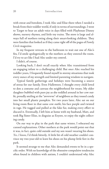with sweat and boredom, I took Alec and Elise there when I needed a break from their toddler world, if only in terms of surroundings. I went to Target to hear an adult voice in days filled with Playhouse Disney shows, nursery rhymes, and little toy trains. The store is large and always full of mothers toting along their smart-looking children. They were families that looked as if they came right off of the pages of *Family Circle* magazine.

In my frequent retreats to the bathroom to wait out one of Alec's fits, I'd smile apologetically to the mothers as they entered the room. I'd try to act like I had Alec under my control.

I didn't, of course.

Looking back, I don't recall exactly when Alec transitioned from an engaging infant to a challenging child. But once Alec reached his toddler years, I frequently found myself in stormy situations that took every ounce of my strength and limited parenting wisdom to navigate.

Typical family gatherings and holidays were becoming a source of stress for our family. Even Halloween. I thought every child loved to don a costume and canvass the neighborhood for treats. My older daughter bubbled with pure joy as she toddled around in her cow outfit, proudly smiling at the "awwwws" of neighbors as they tossed candy into her small plastic pumpkin. Yet two years later, Alec sat on our living room floor in that same cow outfit, his face purple and twisted in rage. He tugged and pulled at the fake fur, making every effort to discard it. Eventually, I left him at home with my husband, Matt, and took Big Sister Elise, in disguise as Eeyore, to enjoy the night collecting candy.

On our way to play in the park that same winter, I rehearsed my canned explanations. Other mothers at the park would point out that it was, in fact, quite cold outside and my son wasn't wearing his shoes. *Yes, I know*, I'd think bitterly. A little bit of cold weather couldn't convince my two-year-old to leave his shoes on his plump little feet in the park.

It seemed strange to me that Alec demanded events to be in a specific order. With no knowledge of the obsessive-compulsive tendencies often found in children with autism, I couldn't understand why Alec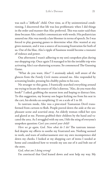was such a "difficult" child. Over time, as if by unintentional conditioning, I discovered that life was less problematic when I did things in the order and manner that Alec preferred. This was easier said than done because Alec couldn't communicate with words. His pediatrician assured me Alec was merely a late bloomer in terms of speech. So I was forced to play guessing games to determine what Alec wanted at any given moment, and it was a source of increasing frustration for both of us. Out of the blue, Alec's ripple of fussiness would become a tsunami of violence and power.

One afternoon I wasn't adhering to my son's unspoken plan during our shopping trip. Once again I'd managed to hit the invisible trip wire activating Alec's ear-shattering screams. So commenced The Guessing Game.

"What do you want, Alec?" I anxiously asked, well aware of the glances from the *Family Circle* moms around me. Alec responded by screaming louder, pressing his chubby palms to his ears.

No stranger to this game, I frantically searched everything around me trying to locate the source of Alec's distress. "Alec, do you want this book?" I asked, grabbing the nearest item and hoping to distract him. To this suggestion, my brawny son began kicking me from his seat in the cart, his shrieks an earsplitting 11 on a scale of 1 to 10.

In tantrum mode, Alec was a pint-sized Tasmanian Devil transformed from cartoon to flesh. People peered down the aisle at the unpleasant scene and scurried away. An elderly woman rolled her eyes and glared at me. Parents grabbed their children by the hand and vacated the area. As I struggled with my son, I felt the sting of everyone's unspoken question: *Can't you control your child?*

*Here we go again, God. Now what do I do?* The tantrum intensified despite my efforts to soothe my frustrated son. Nothing seemed to work, and tears of embarrassment over my own incompetence slid down my cheeks. I looked at my shopping cart of items I needed at home and considered how to wrestle my son out of it and bolt out of the store.

*God, what am I doing wrong?*

I'm convinced that God leaned down and sent help my way. My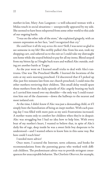mother-in-law, Mary Ann Langston—a well-educated woman with a Midas touch in social situations— unexpectedly appeared by my side. She seemed to have been teleported from some other world to this aisle of our ongoing battle.

"I was on the other side of the store," she explained gingerly, with an unsure expression on her face, "and I recognized that cry."

*She could hear it all the way across the store?* Still, I was never so glad to see someone in my life! She swiftly pulled Alec from his seat, took my shopping cart, and ushered us to the exit so I could take my distraught son home while she stayed behind to pay for all my items. Blood seeped from my bitten lip as I fought back tears and walked Alec outside, ending yet another battle at Target.

As the year went on I learned small tricks to deal with Alec's tantrums. One was The Preschool Shuffle. I learned the locations of the exits at my son's morning preschool. I'd discovered that if I picked up Alec just five minutes late from our church preschool, I could miss the other mothers retrieving their children. This small delay would spare those mothers from the daily episode of Alec angrily beating my back as I carried him tossed over my shoulder—the only way I could transition him out of the classroom—down the hallways to the nearest and most isolated exit.

At the time, I didn't know if Alec was just a demanding child, or if I simply bore the humiliation of being an inept mother. With each passing day I was filled with more pain as my son's frustrations increased. A mother wants only to comfort her children when they're in despair. Alec was struggling but I had no idea how to help him. With every beat of my mother's heart, I wanted to believe that, in spite of Alec's daily fits of rage, deep inside he was a sweet little boy desperate to be understood—and I wanted others to know him in this same way. But how could I reach him?

I needed more advice!

Once more, I scoured the Internet, news columns, and books for recommendations from the parenting gurus who worked with difficult children. The predominant advice was to provide stringent consequences for unacceptable behavior. The *Charlotte Observer*, for example,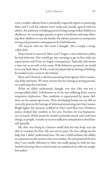runs a weekly column from a nationally respected expert in parenting. Matt and I read his column every week and usually agreed with his advice. An authority in helping parents bring strong-willed children to obedience, he encourages parents to grow a backbone and stop allowing their children to run the family. He advises parents to incorporate strong and persuasive consequences for bad behavior.

*This must be what our Alec needs.* I thought. *Alec is simply a strongwilled child.*

Determined to succeed, Matt and I began a zero-tolerance policy for bad behavior. Alec would get one warning to get in line with our expectations and if not, we began consequences. Typically, this meant a time out or an exile to his room. If the behavior persisted, we would in no way back down. If Alec acted out physically by hitting or kicking, he would receive a swat to the behind.

Matt and I formed a cohesive parenting front against Alec's numerous daily tantrums. We were certain that by uniting as strong parents, we could stop the tantrums.

What we didn't understand, though, was that Alec was not a strong-willed child. Unbeknown to us he was suffering from *sensory integration dysfunction*. This condition is experienced by many children on the autism spectrum. Their developing brains are not able to correctly process the barrage of information pouring into their senses. Bright lights, for instance, stabbed at Alec's steel blue eyes. Ordinary noises clashed like cymbals in his ears. Further, he was hyposensitive to touch, which meant he would constantly smack and crash into things, or people, in order to receive sufficient stimulation to find himself spatially.

My Alec was living in a bizarre world that his tiny body was not able to translate for him. My son was in pain. He was calling out for help, but I didn't understand him. He was a child without the ability to communicate his needs to his own mother. I'm not proud of the fact that I was totally oblivious to what was really going on with my son. Instead of seeing Alec's critical need, we continued on with our toughlove policy.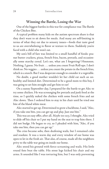#### **Winning the Battle, Losing the War**

One of the biggest battles in this war for compliance was The Battle of the Chicken Bite.

A typical problem many kids on the autism spectrum share is that they don't want to sit down for meals. And many are self-limiting in terms of what they eat due to sensory issues—foods that taste good to us are overwhelming in flavor or texture to them. Suddenly you're faced with a child who won't eat.

My son's bill of fare was limited to a small handful of foods: peanut butter crackers, pizza, french fries, bacon, pretzels, and occasionally some starchy cereal. Let's see, what am I forgetting? Hmmmm. Nothing, I guess. No fruit . . . unless you count Fruit Roll-ups. I don't think so. No veggies . . . unless you count the potato in the french fries, which is a starch. But I was desperate enough to consider it a vegetable.

No doubt, a good mother wouldn't let her child eat such an unhealthy and limited diet. Determined to be a good mom to this boy, I was going to set him straight and get him to eat!

On a sunny September day, I prepared for the battle to get Alec to try some chicken. He was scrounging for pretzels and junk food at the time, so I quickly nuked the chicken with some french fries and sat Alec down. Then I ordered him to stay in his chair until he tried one bite of the bland white meat.

Alec started to get up. Determined to grow a backbone, I said, "Alec, if you take one bite, you can get up and play. Just one bite."

This was an easy offer, after all. *Maybe too easy*, I thought. Alec tried to slide off his chair so I put my hand on the seat to trap him there. I did not budge. He began to cry, so I pleaded with him, "Alec, if you take one bite, then you can get up."

The cries became sobs, then deafening wails, but I remained calm and resolute. It was a warm day and every window of our home was open to let in the fresh air. That also, of course, made all the neighbors privy to the table war going on inside our home.

Alec stood his ground with fierce screaming and wails. His little round fists beat the table. His stout legs kicked his chair and my arms. It sounded like I was torturing him, but I was only preventing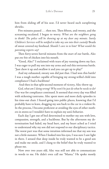him from sliding off of his seat. I'd never heard such earsplitting shrieks.

Five minutes passed . . . then ten. Then fifteen, and twenty, and the screaming escalated. I began to worry. *What are the neighbors going to think? The police will be showing up at my door any minute. Surely Children's Services will be notified to take my son into their custody!* Beads of sweat covered my forehead. *Should I cave in to him? What would the parenting experts say?*

Then forty-seven horrid minutes from the start of our battle, Alec put *one bite* of chicken into his mouth.

"Good, Alec!" I exclaimed with tears of joy running down my face. I was eager to pull my son into my arms and end this torturous battle. "Just chew it up and swallow it and you can get up to play!"

And my exhausted, sweaty son did just that. I had won this battle! I was a tough mother capable of bringing my strong-willed child into compliance! I had a backbone!

And then in that split-second moment of victory, Alec threw up.

*God, what am I doing wrong? Why won't he just do what he needs to do?*  Our war for compliance continued. It seemed that every day was filled with sickening tantrums. Alec spent more and more daily episodes in his time-out chair. I feared going into public places, knowing that I'd probably have to leave, dragging my son back to the car in a violent fit. In the process, I became proficient at avoiding the eyes of other mothers in stores so I wouldn't have to explain my son's behavior.

Each day I got out of bed determined to mother my son with love, compassion, strength, and a backbone. But by the afternoon my determination had faded, my head hurt, and my heart ached as I tried to understand why my son did not respond to our disciplinary tactics. The worst part was that some intuition informed me that my son was not a little monster. When I looked into his eyes, I was sure I saw light in there. I sensed that deep inside he truly wanted to be a good son and make me smile, and I clung to the belief that he truly wanted to please me.

Now over two years old, Alec was still not able to communicate in words to me. He didn't even call me "Mama." He spoke mostly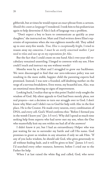gibberish, but at times he would repeat an exact phrase from a cartoon. *Should this count as language?* I wondered. I took him to his pediatrician again to help determine if Alec's lack of language was a problem.

 "Don't expect a boy to learn to communicate as quickly as your daughter," she instructed me. Matt and I had written down Elise's repertoire of expressions when she was eighteen months old. They added up to over sixty-five words. *True, Elise is exceptionally bright*, I tried to reason away my concerns. *I must be an overly concerned mother. I just need to relax and ease up on my expectations for Alec.*

But the fact that I could count on one hand Alec's two-year-old vocabulary remained unsettling. I longed to converse with my son. How could I teach and instruct my son without words?

Months went by as Matt and I struggled to grow our backbones. We were discouraged to find that our zero-tolerance policy was not resulting in the more stable, happier child the parenting experts had promised. Instead, I was now a frazzled, self-doubting mother on the verge of a nervous breakdown. Even worse, my beautiful son, Alec, was an emotional mess showing no signs of improvement.

Looking back, I realize that up to this point I hadn't truly sought the wisdom of God. My silent appeals to God had been merely pleas, not real prayers—not a decision to turn our struggle over to God. I don't know why Matt and I didn't run to God for help with Alec in the first place. He is the Creator. He made every neuron, every combination of DNA, and every cell. God's Word confirms this: "Before I formed you in the womb I knew you" (Jer. 1:5 niv). Why did I spend so much time seeking help from experts who had never met my son, when the One who masterfully knit my son within me had all of the answers?

I didn't know it yet, but I had an extraordinary Helper who was just waiting for me to surrender my battle and call His name. God promises to grant us wisdom in any situation if only we ask Him. "If any of you lacks wisdom, he should ask God, who gives generously to all without finding fault, and it will be given to him" (James 1:5 niv). I'd searched every other resource, however, before I cried out to the Father for help.

When I at last raised the white flag and called, God, who never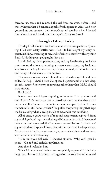forsakes us, came and removed the veil from my eyes. Before I had merely hoped that I'd sensed a spark of willingness in Alec. God now granted me one moment, both marvelous and terrible, when I looked into Alec's face and clearly saw the anguish in my son's soul.

#### **Through a Glass, Darkly**

The day I called out to God and was answered was particularly taxing, filled with nasty battles with Alec. He had fought my every request, kicking, screaming at me, and refusing to comply with anything I asked. Nothing was going right that day.

I could feel my blood pressure rising and my face heating. As he lay prostrate on the floor, screaming, my ears were aching, my back was sore from wrestling his clothes on, and my internal pitcher of love was quite empty. I was about to lose control.

This was a moment when I should have walked away. I should have called for help. I should have disappeared upstairs, taken a few deep breaths, counted to twenty, or anything other than what I did. I should have known.

But I didn't.

It was a moment I'd give anything to live over. Have you ever had one of those? It's a memory that cuts so deeply into my soul that it may never heal. It left a scar so dark, it may never completely fade. It was a moment of brutal honesty when God pulled away everything that kept me from seeing what is really inside of me, and it was terrifying.

All at once, a year's worth of rage and desperation exploded from my soul. I grabbed my son and plunged him onto the sofa. I then stood before him and screamed like I've never screamed before. In the face of my two-and-a-half-year-old son, I emptied my heart of its desperation. My face twisted with resentment, my eyes clenched shut, and my heart was devoid of understanding.

"Why can't you behave!?" I shouted at him. "Why can't you be good!?" On and on I railed at my little son.

And then I looked at him.

What I'd only sensed before was now plainly expressed in his body language. He was still sitting cross-legged on the sofa, but as I watched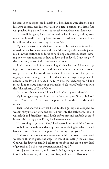he seemed to collapse into himself. His little hands were clenched and his arms crossed over his chest as if in a fetal position. His little face was pinched in pain and tears, his mouth opened wide in silent sobs.

In incredible agony, I watched as he slouched forward, sinking even more into himself. Then my beautiful son turned away from me, like a little flower that felt unworthy of the sun's love.

My heart shattered in that very moment. In that instant, God removed the veil from my eyes, and I saw Alec's desperate desire to please me. I saw the torture he endured of not being understood, of not knowing how to communicate or how to love and be loved. I saw the grief, the pain, and, worst of all, the absence of hope.

And I understood. Alec was doing all that he could! He was trying to reach out to me, but he didn't know how. He was a prisoner, trapped in a troubled world that neither of us understood. The parenting experts were wrong. This child did not need stronger discipline. He needed more love*.* He needed me to go into that shadowy world and rescue him, to carry him out of that isolated place and back to us with the full authority of Christ's love.

In that terrible moment, I knew I had failed my son miserably.

My knees gave way and I sank to the floor, weeping. "God, oh, God! I need You so much! I see now. Help me be the mother that this child needs!"

Then God showed me what I had to do. I got up and scooped my weeping boy into my arms and carried him into the bathroom. I took a washcloth and dried his tears. I knelt before him and tenderly grasped his wet chin in my palm, lifting his face to my own.

"I'm coming to get you, Alec," I whispered and took him into my arms, holding on to him with every ounce of my being for what seemed like an eternity. "God will help me. I'm coming to get you, Alec."

And from that moment on, we were on a different road. There, God walked with us to guide the way, His love illuminating the darkness. God was leading our family back from the abyss and on to a new level of joy such as I had never experienced in all my life.

Yes, joy was to return, and it would bring along all of its companions: laughter, smiles, victories, promises, and most of all—hope.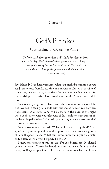#### Chapter 1

## God's Promises

#### Our Lifeline to Overcome Autism

*You're blessed when you've lost it all. God's kingdom is there for the finding. You're blessed when you're ravenously hungry. Then you're ready for the Messianic meal. You're blessed when the tears flow freely. Joy comes with the morning.* Luke 6:20–21 (msg)

Joy? Blessed? I can hardly imagine what you might be thinking as you read these verses from Luke. How can anyone be blessed in the face of something as devastating as autism? In fact, you may blame God for the hardship that autism has caused your family. At one time, I did, too.

Where can you go when faced with the mountain of responsibilities involved in caring for a child with autism? What can you do when hope seems so distant? Who will be there in the dead of the night when you're alone with your sleepless child—children with autism often have sleep disorders. Where do you find light when you're afraid of a future that seems so dark?

Who answers when you ask, "What will happen to my child? Am I spiritually, physically, and mentally up to the demands of caring for a child with special needs? What can I expect now that my life is drastically different than what I expected it to be?"

I know these questions well, because I've asked them, too. I've shared your experiences. You've felt blood on your lips as you bite back the tears, holding your precious child's hand as dreams of what could have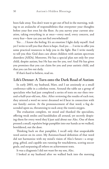been fade away. You don't want to get out of bed in the morning, waking to an avalanche of responsibilities that overpower your thoughts before your feet even hit the floor. As you survey your current situation, taking everything in at once—every need, every concern, and every fear—how can you not feel overwhelmed?

Yes . . . I know the feeling. It's an emotion I fight daily myself. And yet I write to tell you that there is hope. And yes . . . I write to offer you some practical resources to help you in the fight. But I write mostly to tell you this: God does care about children with autism spectrum disorders (ASDs). Moreover, He has a special plan not only for your child, despite autism, but He has one for you, too! And He has given you promises that you can claim for you and your autistic child, and that you can live out daily.

If that's hard to believe, read on.

#### **Life's Detour: A Turn onto the Dark Road of Autism**

In early 2003, my husband, Matt, and I sat anxiously at a small conference table in a colorless room. Around the table sat a group of specialists who had just completed a series of tests on our then twoand-a-half-year-old son, Alec. After reviewing the results of each test, they uttered a word we never dreamed we'd hear in connection with our family: *autism.* At the pronouncement of that word, a fog descended upon us, threatening to suck away the room's oxygen.

The evaluation complete, we stood and thanked the specialists, offering weak smiles and handshakes all around, yet secretly despising them for every word they'd just said about our Alec. One of them pressed a small, repulsive beige pamphlet into our hands as we walked, bewildered, out the door.

Thinking back on that pamphlet, I recall only that unspeakable word *autism* on its cover. My *Rainman-*based definition of that word did not harmonize with my mind's vision of Alec's future—a strapping, gifted, and capable son running for touchdowns, scoring soccer goals, and surpassing all others on achievement tests.

It was a diagnosis I did not want for my son, Alec.

I looked at my husband after we walked back into the morning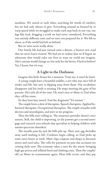sunshine. We stared at each other, searching for words of comfort, but we had only silence to give. Everything around us buzzed by in warp speed while we struggled to make each step back to our van, our legs like lead, dragging a truth we had never considered. Everything was entirely different now, and we were not prepared for it. We felt so alone, as if the world had left us behind.

But we were never really alone.

Our family life had just turned onto a detour, a bizarre new road that we never knew existed. We had yet to realize that we'd begun an adventure that would color our lives in ways we could not imagine. Alec's autism would change us, but only for the better. Hard to believe? Yes, I know, but it's true.

#### **A Light in the Darkness**

Imagine this little drama for a moment. Trust me, it won't be hard. A young couple have a beautiful toddler, a son who was once full of smiles and life, but now is slipping away from them. His vocabulary disappears and his smile is missing. He stops meeting the gaze of his parents. He's sick all of the time. He won't turn to Mom or Dad when they call his name.

So they have him tested. And the diagnosis? "It's autism."

The couple hires a slew of therapists. Speech therapists. Applied behavioral therapists. Occupational therapists. The couple consults with doctors and neurologists, and start to see progress.

Then the bills start rolling in. The insurance provider doesn't cover autism. Still, the child is improving, so the parents get a second mortgage and research area schools that specialize in helping children with autism spectrum disorders.

The months pass by and the bills pile up. Their nest egg dwindles away until nothing is left. Creditors begin calling, so Dad picks up some extra hours at work. Mom clips coupons and shops at discount stores and yard sales. The calls for payment on past due accounts are coming daily now. The economy takes a turn for the worse, bringing high gas prices and inflated food and clothing costs. Then the couples' old car blows its transmission again. More bills arrive, and they pay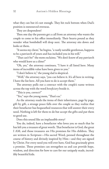what they can but it's not enough. They hit rock bottom when Dad's position is outsourced overseas.

They are despondent!

Then one day the parents get a call from an attorney who wants the couple to come to his office immediately. Their hearts pound as they wonder what bombshell will drop next. The attorney sits down and looks at them.

"It seems my client," he begins, "a vastly notable gentleman, happens to be a patriarch of yours and has included you in his will."

"That can't be!" the mom exclaims. "We don't know of any patriarch who would leave us a dime!"

"Oh, yes," the attorney continues, "I have it all listed here. Many items of incredible value have been given to you."

"I don't believe it," the young dad is skeptical.

"Well," the attorney says, "you can believe it. It's all here in writing. I have the list here. All you have to do is accept them."

The attorney pulls out a contract with the couple's name written across the top with the word *beneficiary* beside it.

"This is you, correct?"

"Yes," says the young mom, "That's us."

As the attorney reads the items of their inheritance, page by page, gift by gift, a strange peace falls over the couple as they realize that their benefactor has bequeathed resources that will answer their every need. Nothing is left for them to do but accept the gifts and put them to good use.

Does this sound like an implausible story?

You do, indeed, have a benefactor who loves you so much that he has left you a treasure of great worth. That benefactor is God, the great I AM, and those treasures are His promises for His children. They are written in Scripture—His sacred Word, penned throughout the course of history and divinely inspired by Him—and they are signed by Christ. For every need you will ever have, God has graciously given a promise. These promises can strengthen us and can provide hope, wisdom, and direction for how to care for our uniquely made, incredibly beautiful kids.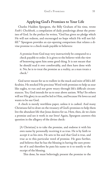#### **Applying God's Promises to Your Life**

Charles Haddon Spurgeon, the Billy Graham of his time, wrote *Faith's Checkbook,* a compilation of daily ponderings about the promises of God. In the preface he writes, "God has given no pledge which He will not redeem, and encouraged no hope which He will not fulfill."1 Spurgeon provides an eye-opening comparison that relates a divine promise to a check made payable to believers:

A promise from God may very instructively be compared to a check payable to order. It is given to the believer with the view of bestowing upon him some good thing. It is not meant that he should read it over comfortably, and then have done with it. No, he is to treat the promise as a reality, as a man treats a check.2

God never meant for us to wallow in the muck and mire of life's difficulties. He stocked His precious Word with promises to help us soar like eagles, to run and not grow weary through life's difficult circumstances. Yes, God intends for us to soar above autism. Why? So others will see His glory in us and be led to Him, and because He loves us and wants to be our God.

A check is merely worthless paper, unless it is cashed. And many Christians fail to draw on the treasury of God's promises to help them live the abundant life that Jesus desires for us. How, then, do we claim a promise and see it work in our lives? Again, Spurgeon answers this question in the allegory of the divine check:

[A Christian] is to take the promise, and endorse it with his own name by personally receiving it as true. He is by faith to accept it as his own. He sets to his seal that God is true, and true as to this particular word of promise. He goes further, and believes that he has the blessing in having the sure promise of it and therefore he puts his name to it to testify to the receipt of the blessing.

This done, he must believingly present the promise to the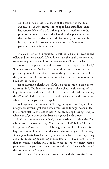Lord, as a man presents a check at the counter of the Bank. He must plead it by prayer, expecting to have it fulfilled. If he has come to Heaven's bank at the right date, he will receive the promised amount at once. If the date should happen to be further on, he must patiently wait till its arrival; but meanwhile he may count the promise as money, for the Bank is sure to pay when the due time arrives.<sup>3</sup>

An element of faith is required to walk into a bank, speak to the teller, and present a check. If you know that the bank's monetary resources are gone, you wouldn't bother even to walk into the bank.

"Some fail to place the endorsement of faith upon the check," Spurgeon continues, "and so they get nothing; and others are slack in presenting it, and these also receive nothing. This is not the fault of the promise, but of those who do not act with it in a commonsense, businesslike manner."4

Just as cashing a check takes faith, so does cashing in on a promise from God. You have to claim it like a check, only instead of taking it into your hand, you hold it in your mind and spirit by reading the Word of God. You mull over it, seeking its value and considering where in your life you can best apply it.

Look again at the promise at the beginning of this chapter. I can imagine what you might think when you read it. It might seem, in fact, like a huge slap in the face to hear God promising blessings and joy when one of your beloved children is diagnosed with autism.

And that promise may, indeed, seem worthless—unless the One who makes it is trustworthy. Can you trust God? Is He faithful to His promises? You may very well be angry at Him for allowing this to happen to your child, and I understand why you might feel that way. It is impossible to have faith in a promise—and by this I mean putting action to it, staking something of your life in it—if you have no faith that the promise maker will keep his word. In order to believe that a promise is true, you must have a relationship with the one who issued the promise in the first place.

So in the next chapter we spend some time with the Promise Maker.